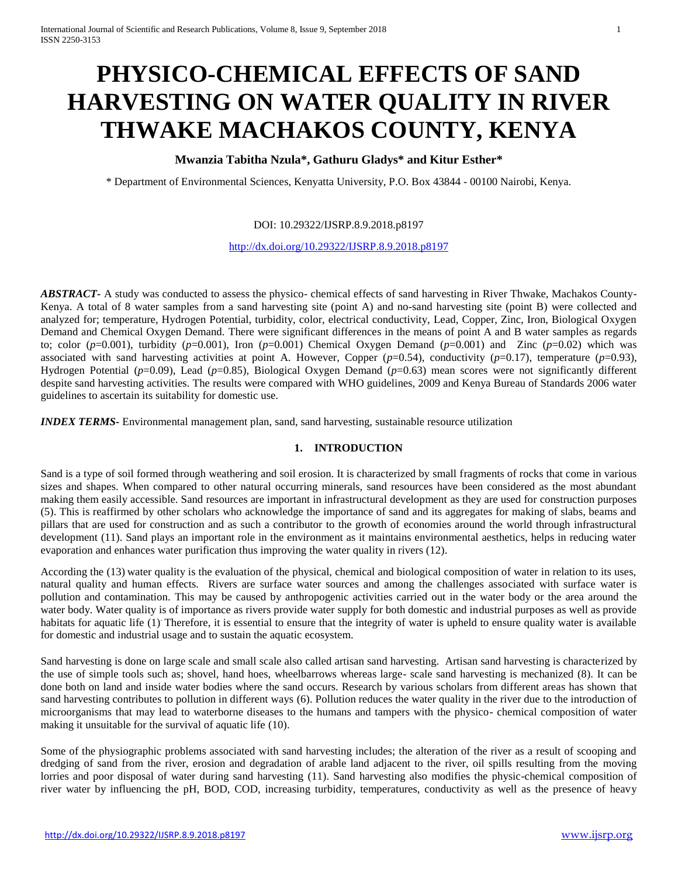# **PHYSICO-CHEMICAL EFFECTS OF SAND HARVESTING ON WATER QUALITY IN RIVER THWAKE MACHAKOS COUNTY, KENYA**

# **Mwanzia Tabitha Nzula\*, Gathuru Gladys\* and Kitur Esther\***

\* Department of Environmental Sciences, Kenyatta University, P.O. Box 43844 - 00100 Nairobi, Kenya.

## DOI: 10.29322/IJSRP.8.9.2018.p8197

<http://dx.doi.org/10.29322/IJSRP.8.9.2018.p8197>

*ABSTRACT-* A study was conducted to assess the physico- chemical effects of sand harvesting in River Thwake, Machakos County-Kenya. A total of 8 water samples from a sand harvesting site (point A) and no-sand harvesting site (point B) were collected and analyzed for; temperature, Hydrogen Potential, turbidity, color, electrical conductivity, Lead, Copper, Zinc, Iron, Biological Oxygen Demand and Chemical Oxygen Demand. There were significant differences in the means of point A and B water samples as regards to; color  $(p=0.001)$ , turbidity  $(p=0.001)$ , Iron  $(p=0.001)$  Chemical Oxygen Demand  $(p=0.001)$  and Zinc  $(p=0.02)$  which was associated with sand harvesting activities at point A. However, Copper  $(p=0.54)$ , conductivity  $(p=0.17)$ , temperature  $(p=0.93)$ , Hydrogen Potential (*p*=0.09), Lead (*p*=0.85), Biological Oxygen Demand (*p*=0.63) mean scores were not significantly different despite sand harvesting activities. The results were compared with WHO guidelines, 2009 and Kenya Bureau of Standards 2006 water guidelines to ascertain its suitability for domestic use.

*INDEX TERMS***-** Environmental management plan, sand, sand harvesting, sustainable resource utilization

## **1. INTRODUCTION**

Sand is a type of soil formed through weathering and soil erosion. It is characterized by small fragments of rocks that come in various sizes and shapes. When compared to other natural occurring minerals, sand resources have been considered as the most abundant making them easily accessible. Sand resources are important in infrastructural development as they are used for construction purposes (5). This is reaffirmed by other scholars who acknowledge the importance of sand and its aggregates for making of slabs, beams and pillars that are used for construction and as such a contributor to the growth of economies around the world through infrastructural development (11). Sand plays an important role in the environment as it maintains environmental aesthetics, helps in reducing water evaporation and enhances water purification thus improving the water quality in rivers (12).

According the (13) water quality is the evaluation of the physical, chemical and biological composition of water in relation to its uses, natural quality and human effects. Rivers are surface water sources and among the challenges associated with surface water is pollution and contamination. This may be caused by anthropogenic activities carried out in the water body or the area around the water body. Water quality is of importance as rivers provide water supply for both domestic and industrial purposes as well as provide habitats for aquatic life (1). Therefore, it is essential to ensure that the integrity of water is upheld to ensure quality water is available for domestic and industrial usage and to sustain the aquatic ecosystem.

Sand harvesting is done on large scale and small scale also called artisan sand harvesting. Artisan sand harvesting is characterized by the use of simple tools such as; shovel, hand hoes, wheelbarrows whereas large- scale sand harvesting is mechanized (8). It can be done both on land and inside water bodies where the sand occurs. Research by various scholars from different areas has shown that sand harvesting contributes to pollution in different ways (6). Pollution reduces the water quality in the river due to the introduction of microorganisms that may lead to waterborne diseases to the humans and tampers with the physico- chemical composition of water making it unsuitable for the survival of aquatic life (10).

Some of the physiographic problems associated with sand harvesting includes; the alteration of the river as a result of scooping and dredging of sand from the river, erosion and degradation of arable land adjacent to the river, oil spills resulting from the moving lorries and poor disposal of water during sand harvesting (11). Sand harvesting also modifies the physic-chemical composition of river water by influencing the pH, BOD, COD, increasing turbidity, temperatures, conductivity as well as the presence of heavy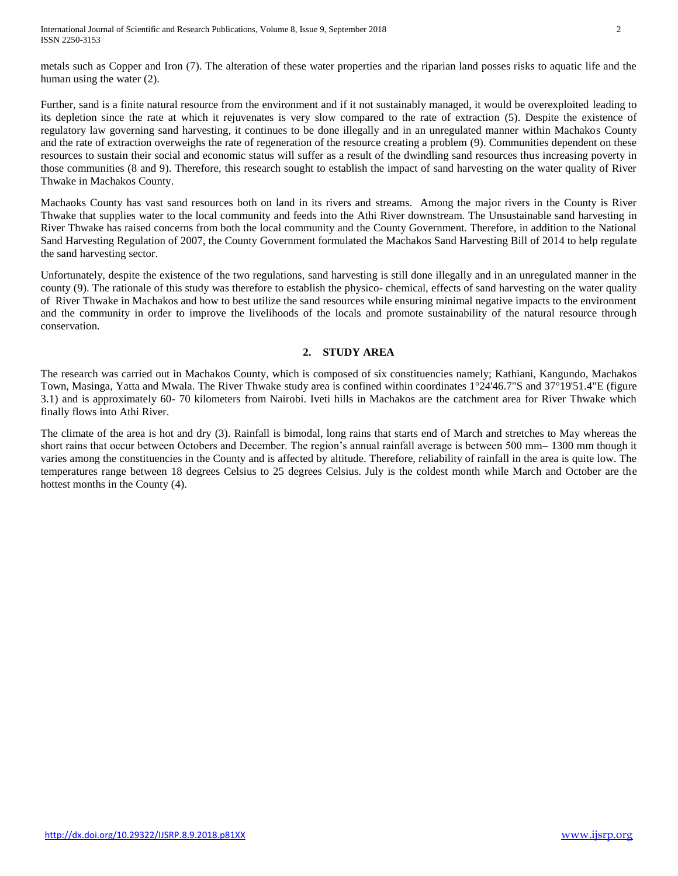metals such as Copper and Iron (7). The alteration of these water properties and the riparian land posses risks to aquatic life and the human using the water (2).

Further, sand is a finite natural resource from the environment and if it not sustainably managed, it would be overexploited leading to its depletion since the rate at which it rejuvenates is very slow compared to the rate of extraction (5). Despite the existence of regulatory law governing sand harvesting, it continues to be done illegally and in an unregulated manner within Machakos County and the rate of extraction overweighs the rate of regeneration of the resource creating a problem (9). Communities dependent on these resources to sustain their social and economic status will suffer as a result of the dwindling sand resources thus increasing poverty in those communities (8 and 9). Therefore, this research sought to establish the impact of sand harvesting on the water quality of River Thwake in Machakos County.

Machaoks County has vast sand resources both on land in its rivers and streams. Among the major rivers in the County is River Thwake that supplies water to the local community and feeds into the Athi River downstream. The Unsustainable sand harvesting in River Thwake has raised concerns from both the local community and the County Government. Therefore, in addition to the National Sand Harvesting Regulation of 2007, the County Government formulated the Machakos Sand Harvesting Bill of 2014 to help regulate the sand harvesting sector.

Unfortunately, despite the existence of the two regulations, sand harvesting is still done illegally and in an unregulated manner in the county (9). The rationale of this study was therefore to establish the physico- chemical, effects of sand harvesting on the water quality of River Thwake in Machakos and how to best utilize the sand resources while ensuring minimal negative impacts to the environment and the community in order to improve the livelihoods of the locals and promote sustainability of the natural resource through conservation.

# **2. STUDY AREA**

The research was carried out in Machakos County, which is composed of six constituencies namely; Kathiani, Kangundo, Machakos Town, Masinga, Yatta and Mwala. The River Thwake study area is confined within coordinates 1°24'46.7"S and 37°19'51.4"E (figure 3.1) and is approximately 60- 70 kilometers from Nairobi. Iveti hills in Machakos are the catchment area for River Thwake which finally flows into Athi River.

The climate of the area is hot and dry (3). Rainfall is bimodal, long rains that starts end of March and stretches to May whereas the short rains that occur between Octobers and December. The region's annual rainfall average is between 500 mm– 1300 mm though it varies among the constituencies in the County and is affected by altitude. Therefore, reliability of rainfall in the area is quite low. The temperatures range between 18 degrees Celsius to 25 degrees Celsius. July is the coldest month while March and October are the hottest months in the County (4).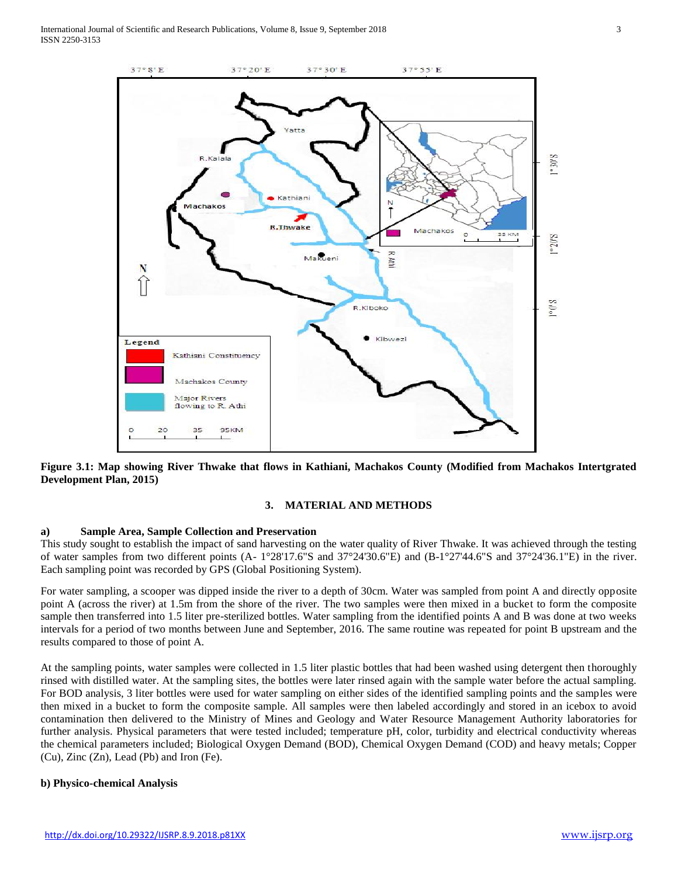

**Figure 3.1: Map showing River Thwake that flows in Kathiani, Machakos County (Modified from Machakos Intertgrated Development Plan, 2015)**

## **3. MATERIAL AND METHODS**

## **a) Sample Area, Sample Collection and Preservation**

This study sought to establish the impact of sand harvesting on the water quality of River Thwake. It was achieved through the testing of water samples from two different points (A- 1°28'17.6"S and 37°24'30.6"E) and (B-1°27'44.6"S and 37°24'36.1"E) in the river. Each sampling point was recorded by GPS (Global Positioning System).

For water sampling, a scooper was dipped inside the river to a depth of 30cm. Water was sampled from point A and directly opposite point A (across the river) at 1.5m from the shore of the river. The two samples were then mixed in a bucket to form the composite sample then transferred into 1.5 liter pre-sterilized bottles. Water sampling from the identified points A and B was done at two weeks intervals for a period of two months between June and September, 2016. The same routine was repeated for point B upstream and the results compared to those of point A.

At the sampling points, water samples were collected in 1.5 liter plastic bottles that had been washed using detergent then thoroughly rinsed with distilled water. At the sampling sites, the bottles were later rinsed again with the sample water before the actual sampling. For BOD analysis, 3 liter bottles were used for water sampling on either sides of the identified sampling points and the samples were then mixed in a bucket to form the composite sample. All samples were then labeled accordingly and stored in an icebox to avoid contamination then delivered to the Ministry of Mines and Geology and Water Resource Management Authority laboratories for further analysis. Physical parameters that were tested included; temperature pH, color, turbidity and electrical conductivity whereas the chemical parameters included; Biological Oxygen Demand (BOD), Chemical Oxygen Demand (COD) and heavy metals; Copper (Cu), Zinc (Zn), Lead (Pb) and Iron (Fe).

## **b) Physico-chemical Analysis**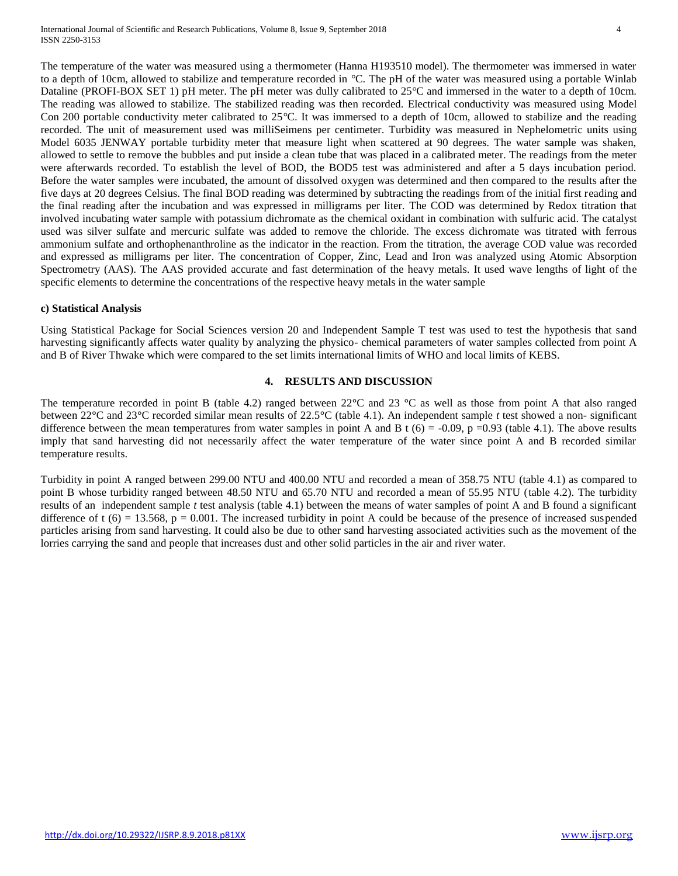The temperature of the water was measured using a thermometer (Hanna H193510 model). The thermometer was immersed in water to a depth of 10cm, allowed to stabilize and temperature recorded in *°*C. The pH of the water was measured using a portable Winlab Dataline (PROFI-BOX SET 1) pH meter. The pH meter was dully calibrated to 25*°*C and immersed in the water to a depth of 10cm. The reading was allowed to stabilize. The stabilized reading was then recorded. Electrical conductivity was measured using Model Con 200 portable conductivity meter calibrated to 25*°*C. It was immersed to a depth of 10cm, allowed to stabilize and the reading recorded. The unit of measurement used was milliSeimens per centimeter. Turbidity was measured in Nephelometric units using Model 6035 JENWAY portable turbidity meter that measure light when scattered at 90 degrees. The water sample was shaken, allowed to settle to remove the bubbles and put inside a clean tube that was placed in a calibrated meter. The readings from the meter were afterwards recorded. To establish the level of BOD, the BOD5 test was administered and after a 5 days incubation period. Before the water samples were incubated, the amount of dissolved oxygen was determined and then compared to the results after the five days at 20 degrees Celsius. The final BOD reading was determined by subtracting the readings from of the initial first reading and the final reading after the incubation and was expressed in milligrams per liter. The COD was determined by Redox titration that involved incubating water sample with potassium dichromate as the chemical oxidant in combination with sulfuric acid. The catalyst used was silver sulfate and mercuric sulfate was added to remove the chloride. The excess dichromate was titrated with ferrous ammonium sulfate and orthophenanthroline as the indicator in the reaction. From the titration, the average COD value was recorded and expressed as milligrams per liter. The concentration of Copper, Zinc, Lead and Iron was analyzed using Atomic Absorption Spectrometry (AAS). The AAS provided accurate and fast determination of the heavy metals. It used wave lengths of light of the specific elements to determine the concentrations of the respective heavy metals in the water sample

#### **c) Statistical Analysis**

Using Statistical Package for Social Sciences version 20 and Independent Sample T test was used to test the hypothesis that sand harvesting significantly affects water quality by analyzing the physico- chemical parameters of water samples collected from point A and B of River Thwake which were compared to the set limits international limits of WHO and local limits of KEBS.

#### **4. RESULTS AND DISCUSSION**

The temperature recorded in point B (table 4.2) ranged between 22**°**C and 23 **°**C as well as those from point A that also ranged between 22**°**C and 23**°**C recorded similar mean results of 22.5**°**C (table 4.1). An independent sample *t* test showed a non- significant difference between the mean temperatures from water samples in point A and B t  $(6) = -0.09$ ,  $p = 0.93$  (table 4.1). The above results imply that sand harvesting did not necessarily affect the water temperature of the water since point A and B recorded similar temperature results.

Turbidity in point A ranged between 299.00 NTU and 400.00 NTU and recorded a mean of 358.75 NTU (table 4.1) as compared to point B whose turbidity ranged between 48.50 NTU and 65.70 NTU and recorded a mean of 55.95 NTU (table 4.2). The turbidity results of an independent sample *t* test analysis (table 4.1) between the means of water samples of point A and B found a significant difference of  $t(6) = 13.568$ ,  $p = 0.001$ . The increased turbidity in point A could be because of the presence of increased suspended particles arising from sand harvesting. It could also be due to other sand harvesting associated activities such as the movement of the lorries carrying the sand and people that increases dust and other solid particles in the air and river water.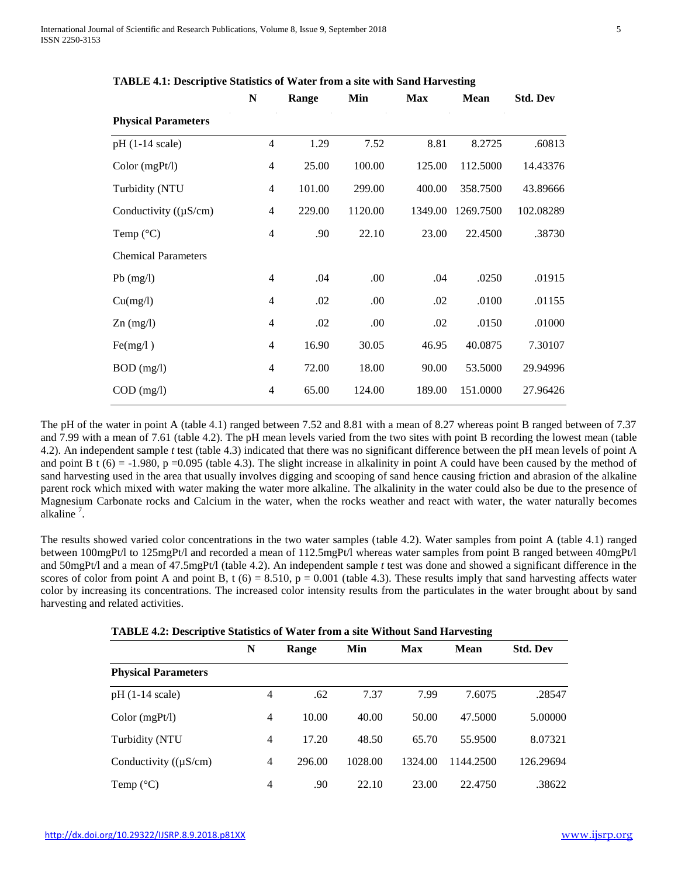|                            | N              | Range  | Min     | <b>Max</b> | <b>Mean</b> | <b>Std. Dev</b> |
|----------------------------|----------------|--------|---------|------------|-------------|-----------------|
| <b>Physical Parameters</b> |                |        |         |            |             |                 |
| $pH(1-14 scale)$           | $\overline{4}$ | 1.29   | 7.52    | 8.81       | 8.2725      | .60813          |
| Color (mgPt/l)             | $\overline{4}$ | 25.00  | 100.00  | 125.00     | 112.5000    | 14.43376        |
| Turbidity (NTU             | $\overline{4}$ | 101.00 | 299.00  | 400.00     | 358.7500    | 43.89666        |
| Conductivity $((\mu S/cm)$ | 4              | 229.00 | 1120.00 | 1349.00    | 1269.7500   | 102.08289       |
| Temp $(^{\circ}C)$         | 4              | .90    | 22.10   | 23.00      | 22.4500     | .38730          |
| <b>Chemical Parameters</b> |                |        |         |            |             |                 |
| $Pb$ (mg/l)                | 4              | .04    | .00     | .04        | .0250       | .01915          |
| Cu(mg/l)                   | 4              | .02    | .00     | .02        | .0100       | .01155          |
| $Zn$ (mg/l)                | 4              | .02    | .00     | .02        | .0150       | .01000          |
| Fe(mg/l)                   | 4              | 16.90  | 30.05   | 46.95      | 40.0875     | 7.30107         |
| $BOD$ (mg/l)               | 4              | 72.00  | 18.00   | 90.00      | 53.5000     | 29.94996        |
| $COD$ (mg/l)               | $\overline{4}$ | 65.00  | 124.00  | 189.00     | 151.0000    | 27.96426        |

**TABLE 4.1: Descriptive Statistics of Water from a site with Sand Harvesting**

The pH of the water in point A (table 4.1) ranged between 7.52 and 8.81 with a mean of 8.27 whereas point B ranged between of 7.37 and 7.99 with a mean of 7.61 (table 4.2). The pH mean levels varied from the two sites with point B recording the lowest mean (table 4.2). An independent sample *t* test (table 4.3) indicated that there was no significant difference between the pH mean levels of point A and point B t  $(6) = -1.980$ , p =0.095 (table 4.3). The slight increase in alkalinity in point A could have been caused by the method of sand harvesting used in the area that usually involves digging and scooping of sand hence causing friction and abrasion of the alkaline parent rock which mixed with water making the water more alkaline. The alkalinity in the water could also be due to the presence of Magnesium Carbonate rocks and Calcium in the water, when the rocks weather and react with water, the water naturally becomes alkaline<sup>7</sup>.

The results showed varied color concentrations in the two water samples (table 4.2). Water samples from point A (table 4.1) ranged between 100mgPt/l to 125mgPt/l and recorded a mean of 112.5mgPt/l whereas water samples from point B ranged between 40mgPt/l and 50mgPt/l and a mean of 47.5mgPt/l (table 4.2). An independent sample *t* test was done and showed a significant difference in the scores of color from point A and point B, t  $(6) = 8.510$ ,  $p = 0.001$  (table 4.3). These results imply that sand harvesting affects water color by increasing its concentrations. The increased color intensity results from the particulates in the water brought about by sand harvesting and related activities.

|                            | N              | Range  | Min     | <b>Max</b> | Mean      | <b>Std. Dev</b> |
|----------------------------|----------------|--------|---------|------------|-----------|-----------------|
| <b>Physical Parameters</b> |                |        |         |            |           |                 |
| $pH(1-14 scale)$           | 4              | .62    | 7.37    | 7.99       | 7.6075    | .28547          |
| Color(mgPt/l)              | 4              | 10.00  | 40.00   | 50.00      | 47.5000   | 5.00000         |
| Turbidity (NTU             | 4              | 17.20  | 48.50   | 65.70      | 55.9500   | 8.07321         |
| Conductivity $((\mu S/cm)$ | $\overline{4}$ | 296.00 | 1028.00 | 1324.00    | 1144.2500 | 126.29694       |
| Temp $(^{\circ}C)$         | 4              | .90    | 22.10   | 23.00      | 22.4750   | .38622          |

## **TABLE 4.2: Descriptive Statistics of Water from a site Without Sand Harvesting**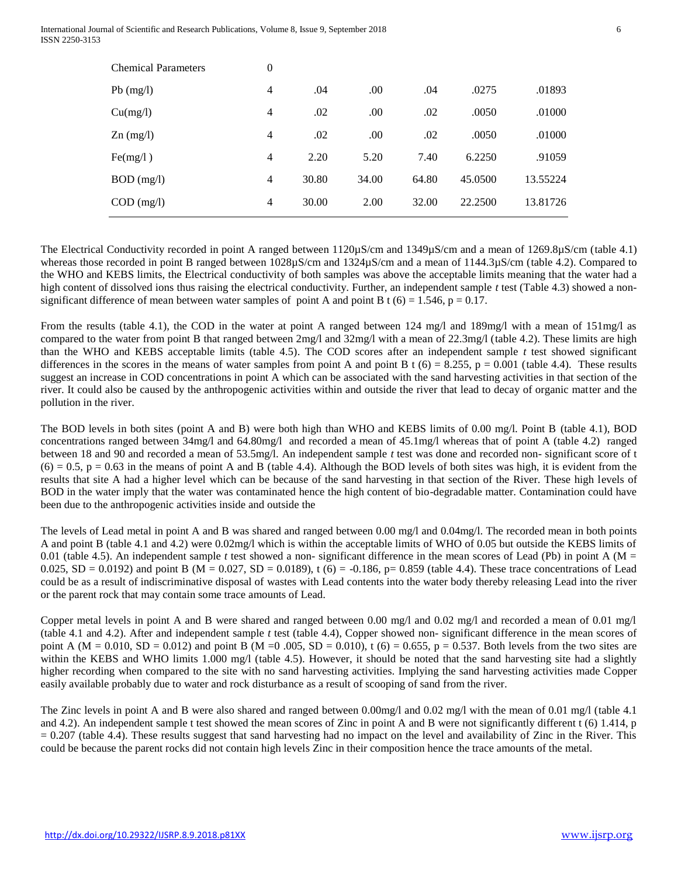| $\boldsymbol{0}$ |       |       |       |         |          |
|------------------|-------|-------|-------|---------|----------|
| 4                | .04   | .00   | .04   | .0275   | .01893   |
| 4                | .02   | .00   | .02   | .0050   | .01000   |
| 4                | .02   | .00   | .02   | .0050   | .01000   |
| 4                | 2.20  | 5.20  | 7.40  | 6.2250  | .91059   |
| 4                | 30.80 | 34.00 | 64.80 | 45.0500 | 13.55224 |
| 4                | 30.00 | 2.00  | 32.00 | 22.2500 | 13.81726 |
|                  |       |       |       |         |          |

The Electrical Conductivity recorded in point A ranged between 1120µS/cm and 1349µS/cm and a mean of 1269.8µS/cm (table 4.1) whereas those recorded in point B ranged between 1028µS/cm and 1324µS/cm and a mean of 1144.3µS/cm (table 4.2). Compared to the WHO and KEBS limits, the Electrical conductivity of both samples was above the acceptable limits meaning that the water had a high content of dissolved ions thus raising the electrical conductivity. Further, an independent sample *t* test (Table 4.3) showed a nonsignificant difference of mean between water samples of point A and point B t (6) = 1.546, p = 0.17.

From the results (table 4.1), the COD in the water at point A ranged between 124 mg/l and 189mg/l with a mean of 151mg/l as compared to the water from point B that ranged between 2mg/l and 32mg/l with a mean of 22.3mg/l (table 4.2). These limits are high than the WHO and KEBS acceptable limits (table 4.5). The COD scores after an independent sample  $t$  test showed significant differences in the scores in the means of water samples from point A and point B t  $(6) = 8.255$ ,  $p = 0.001$  (table 4.4). These results suggest an increase in COD concentrations in point A which can be associated with the sand harvesting activities in that section of the river. It could also be caused by the anthropogenic activities within and outside the river that lead to decay of organic matter and the pollution in the river.

The BOD levels in both sites (point A and B) were both high than WHO and KEBS limits of 0.00 mg/l. Point B (table 4.1), BOD concentrations ranged between 34mg/l and 64.80mg/l and recorded a mean of 45.1mg/l whereas that of point A (table 4.2) ranged between 18 and 90 and recorded a mean of 53.5mg/l. An independent sample *t* test was done and recorded non- significant score of t  $(6) = 0.5$ ,  $p = 0.63$  in the means of point A and B (table 4.4). Although the BOD levels of both sites was high, it is evident from the results that site A had a higher level which can be because of the sand harvesting in that section of the River. These high levels of BOD in the water imply that the water was contaminated hence the high content of bio-degradable matter. Contamination could have been due to the anthropogenic activities inside and outside the

The levels of Lead metal in point A and B was shared and ranged between 0.00 mg/l and 0.04mg/l. The recorded mean in both points A and point B (table 4.1 and 4.2) were 0.02mg/l which is within the acceptable limits of WHO of 0.05 but outside the KEBS limits of 0.01 (table 4.5). An independent sample *t* test showed a non-significant difference in the mean scores of Lead (Pb) in point A (M = 0.025,  $SD = 0.0192$  and point B (M = 0.027,  $SD = 0.0189$ ), t (6) = -0.186, p= 0.859 (table 4.4). These trace concentrations of Lead could be as a result of indiscriminative disposal of wastes with Lead contents into the water body thereby releasing Lead into the river or the parent rock that may contain some trace amounts of Lead.

Copper metal levels in point A and B were shared and ranged between 0.00 mg/l and 0.02 mg/l and recorded a mean of 0.01 mg/l (table 4.1 and 4.2). After and independent sample *t* test (table 4.4), Copper showed non- significant difference in the mean scores of point A ( $M = 0.010$ ,  $SD = 0.012$ ) and point B ( $M = 0.005$ ,  $SD = 0.010$ ), t (6) = 0.655, p = 0.537. Both levels from the two sites are within the KEBS and WHO limits 1.000 mg/l (table 4.5). However, it should be noted that the sand harvesting site had a slightly higher recording when compared to the site with no sand harvesting activities. Implying the sand harvesting activities made Copper easily available probably due to water and rock disturbance as a result of scooping of sand from the river.

The Zinc levels in point A and B were also shared and ranged between 0.00mg/l and 0.02 mg/l with the mean of 0.01 mg/l (table 4.1) and 4.2). An independent sample t test showed the mean scores of Zinc in point A and B were not significantly different t (6) 1.414, p = 0.207 (table 4.4). These results suggest that sand harvesting had no impact on the level and availability of Zinc in the River. This could be because the parent rocks did not contain high levels Zinc in their composition hence the trace amounts of the metal.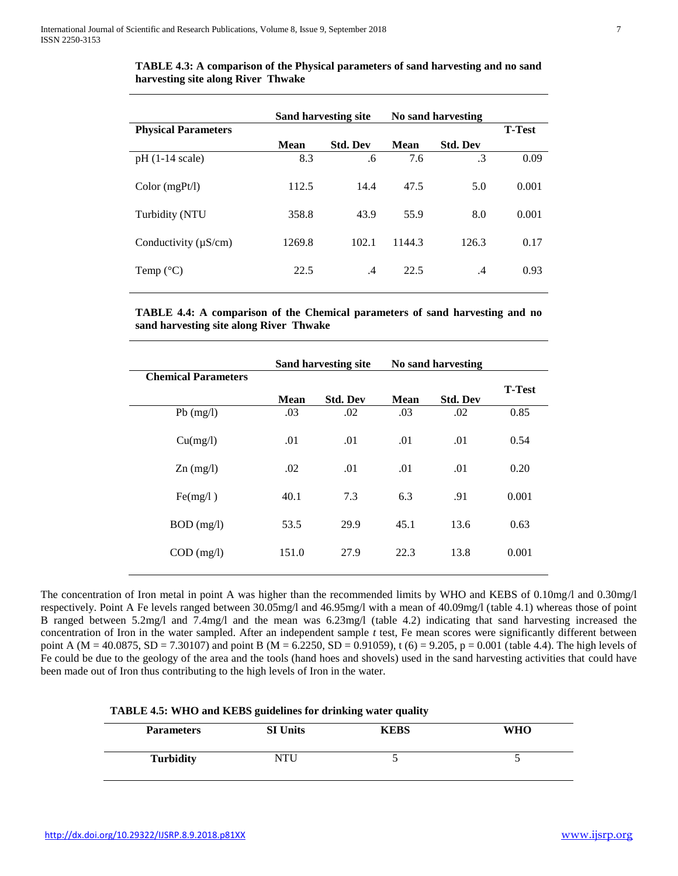|                            | Sand harvesting site |                 | No sand harvesting |                 |               |
|----------------------------|----------------------|-----------------|--------------------|-----------------|---------------|
| <b>Physical Parameters</b> |                      |                 |                    |                 | <b>T-Test</b> |
|                            | Mean                 | <b>Std. Dev</b> | Mean               | <b>Std. Dev</b> |               |
| $pH(1-14 scale)$           | 8.3                  | .6              | 7.6                | .3              | 0.09          |
| Color(mgPt/l)              | 112.5                | 14.4            | 47.5               | 5.0             | 0.001         |
| Turbidity (NTU             | 358.8                | 43.9            | 55.9               | 8.0             | 0.001         |
| Conductivity $(\mu S/cm)$  | 1269.8               | 102.1           | 1144.3             | 126.3           | 0.17          |
| Temp $(^{\circ}C)$         | 22.5                 | .4              | 22.5               | .4              | 0.93          |

**TABLE 4.3: A comparison of the Physical parameters of sand harvesting and no sand harvesting site along River Thwake**

**TABLE 4.4: A comparison of the Chemical parameters of sand harvesting and no sand harvesting site along River Thwake**

|                            | Sand harvesting site |                 | No sand harvesting |                 |               |
|----------------------------|----------------------|-----------------|--------------------|-----------------|---------------|
| <b>Chemical Parameters</b> |                      |                 |                    |                 | <b>T-Test</b> |
|                            | Mean                 | <b>Std. Dev</b> | Mean               | <b>Std. Dev</b> |               |
| $Pb$ (mg/l)                | .03                  | .02             | .03                | .02             | 0.85          |
| Cu(mg/l)                   | .01                  | .01             | .01                | .01             | 0.54          |
| $Zn$ (mg/l)                | .02                  | .01             | .01                | .01             | 0.20          |
| Fe(mg/l)                   | 40.1                 | 7.3             | 6.3                | .91             | 0.001         |
| $BOD$ (mg/l)               | 53.5                 | 29.9            | 45.1               | 13.6            | 0.63          |
| $COD$ (mg/l)               | 151.0                | 27.9            | 22.3               | 13.8            | 0.001         |
|                            |                      |                 |                    |                 |               |

The concentration of Iron metal in point A was higher than the recommended limits by WHO and KEBS of 0.10mg/l and 0.30mg/l respectively. Point A Fe levels ranged between 30.05mg/l and 46.95mg/l with a mean of 40.09mg/l (table 4.1) whereas those of point B ranged between 5.2mg/l and 7.4mg/l and the mean was 6.23mg/l (table 4.2) indicating that sand harvesting increased the concentration of Iron in the water sampled. After an independent sample *t* test, Fe mean scores were significantly different between point A (M = 40.0875, SD = 7.30107) and point B (M = 6.2250, SD = 0.91059), t (6) = 9.205, p = 0.001 (table 4.4). The high levels of Fe could be due to the geology of the area and the tools (hand hoes and shovels) used in the sand harvesting activities that could have been made out of Iron thus contributing to the high levels of Iron in the water.

| <b>Parameters</b> | <b>SI Units</b> | KEBS | <b>WHO</b> |
|-------------------|-----------------|------|------------|
| <b>Turbidity</b>  | <b>NTU</b>      |      |            |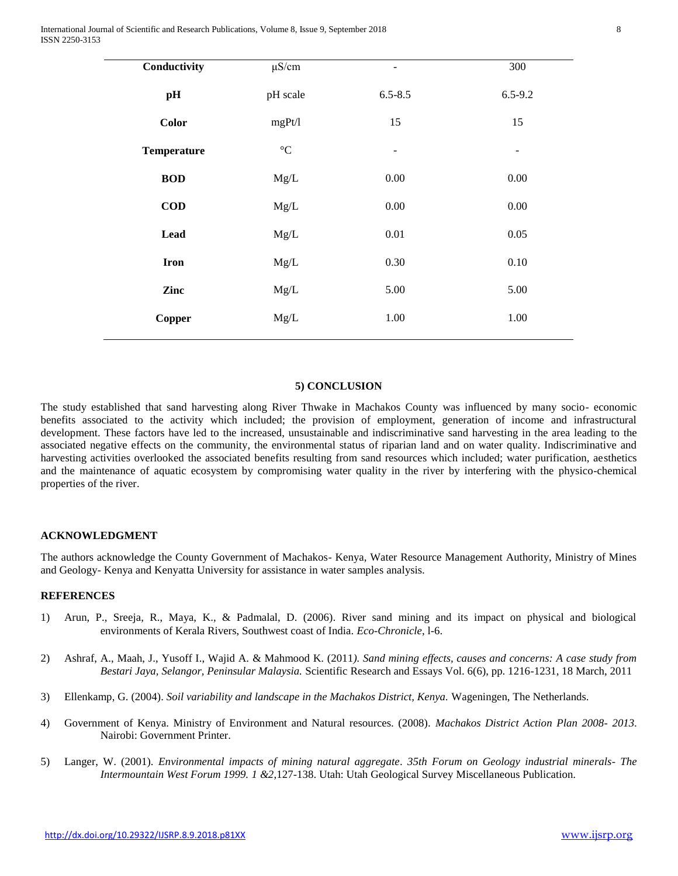| Conductivity       | $\mu$ S/cm          | $\qquad \qquad -$        | 300                      |
|--------------------|---------------------|--------------------------|--------------------------|
| pH                 | pH scale            | $6.5 - 8.5$              | $6.5 - 9.2$              |
| <b>Color</b>       | mgPt/l              | 15                       | 15                       |
| <b>Temperature</b> | $^{\circ} \text{C}$ | $\overline{\phantom{a}}$ | $\overline{\phantom{a}}$ |
| <b>BOD</b>         | Mg/L                | 0.00                     | 0.00                     |
| $\bf{COD}$         | Mg/L                | $0.00\,$                 | $0.00\,$                 |
| Lead               | Mg/L                | 0.01                     | 0.05                     |
| <b>Iron</b>        | Mg/L                | 0.30                     | 0.10                     |
| Zinc               | Mg/L                | 5.00                     | 5.00                     |
| Copper             | Mg/L                | $1.00\,$                 | 1.00                     |
|                    |                     |                          |                          |

#### **5) CONCLUSION**

The study established that sand harvesting along River Thwake in Machakos County was influenced by many socio- economic benefits associated to the activity which included; the provision of employment, generation of income and infrastructural development. These factors have led to the increased, unsustainable and indiscriminative sand harvesting in the area leading to the associated negative effects on the community, the environmental status of riparian land and on water quality. Indiscriminative and harvesting activities overlooked the associated benefits resulting from sand resources which included; water purification, aesthetics and the maintenance of aquatic ecosystem by compromising water quality in the river by interfering with the physico-chemical properties of the river.

## **ACKNOWLEDGMENT**

The authors acknowledge the County Government of Machakos- Kenya, Water Resource Management Authority, Ministry of Mines and Geology- Kenya and Kenyatta University for assistance in water samples analysis.

## **REFERENCES**

- 1) Arun, P., Sreeja, R., Maya, K., & Padmalal, D. (2006). River sand mining and its impact on physical and biological environments of Kerala Rivers, Southwest coast of India. *Eco-Chronicle*, l-6.
- 2) Ashraf, A., Maah, J., Yusoff I., Wajid A. & Mahmood K. (2011*). Sand mining effects, causes and concerns: A case study from Bestari Jaya, Selangor, Peninsular Malaysia.* Scientific Research and Essays Vol. 6(6), pp. 1216-1231, 18 March, 2011
- 3) Ellenkamp, G. (2004). *Soil variability and landscape in the Machakos District, Kenya.* Wageningen, The Netherlands.
- 4) Government of Kenya. Ministry of Environment and Natural resources. (2008). *Machakos District Action Plan 2008- 2013*. Nairobi: Government Printer.
- 5) Langer, W. (2001). *Environmental impacts of mining natural aggregate*. *35th Forum on Geology industrial minerals- The Intermountain West Forum 1999. 1 &2*,127-138. Utah: Utah Geological Survey Miscellaneous Publication.